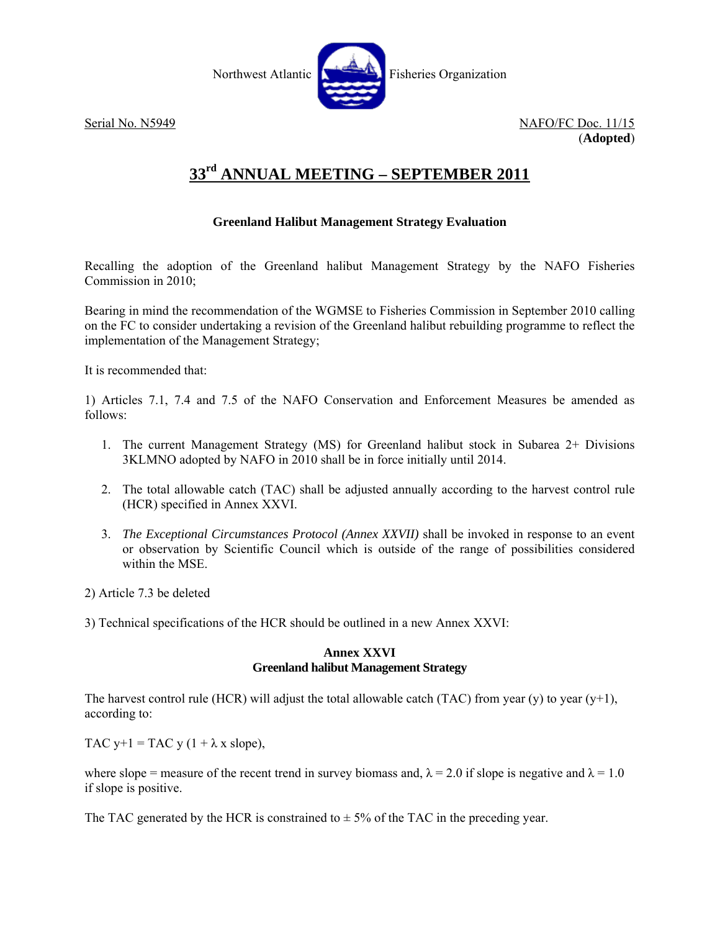

Serial No. N5949 NAFO/FC Doc. 11/15 (**Adopted**)

# **33rd ANNUAL MEETING – SEPTEMBER 2011**

## **Greenland Halibut Management Strategy Evaluation**

Recalling the adoption of the Greenland halibut Management Strategy by the NAFO Fisheries Commission in 2010;

Bearing in mind the recommendation of the WGMSE to Fisheries Commission in September 2010 calling on the FC to consider undertaking a revision of the Greenland halibut rebuilding programme to reflect the implementation of the Management Strategy;

It is recommended that:

1) Articles 7.1, 7.4 and 7.5 of the NAFO Conservation and Enforcement Measures be amended as follows:

- 1. The current Management Strategy (MS) for Greenland halibut stock in Subarea 2+ Divisions 3KLMNO adopted by NAFO in 2010 shall be in force initially until 2014.
- 2. The total allowable catch (TAC) shall be adjusted annually according to the harvest control rule (HCR) specified in Annex XXVI.
- 3. *The Exceptional Circumstances Protocol (Annex XXVII)* shall be invoked in response to an event or observation by Scientific Council which is outside of the range of possibilities considered within the MSE.
- 2) Article 7.3 be deleted
- 3) Technical specifications of the HCR should be outlined in a new Annex XXVI:

## **Annex XXVI Greenland halibut Management Strategy**

The harvest control rule (HCR) will adjust the total allowable catch (TAC) from year (y) to year (y+1), according to:

TAC y+1 = TAC y (1 +  $\lambda$  x slope),

where slope = measure of the recent trend in survey biomass and,  $\lambda = 2.0$  if slope is negative and  $\lambda = 1.0$ if slope is positive.

The TAC generated by the HCR is constrained to  $\pm$  5% of the TAC in the preceding year.